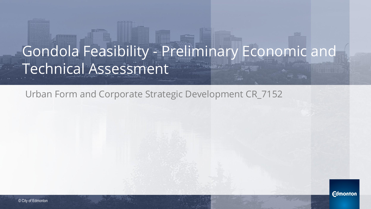## Gondola Feasibility - Preliminary Economic and Technical Assessment

Urban Form and Corporate Strategic Development CR\_7152

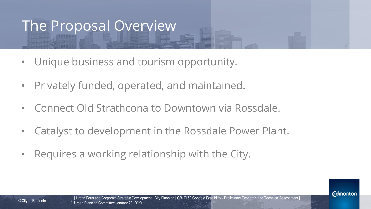#### The Proposal Overview

- Unique business and tourism opportunity.
- Privately funded, operated, and maintained.
- Connect Old Strathcona to Downtown via Rossdale.
- Catalyst to development in the Rossdale Power Plant.
- Requires a working relationship with the City.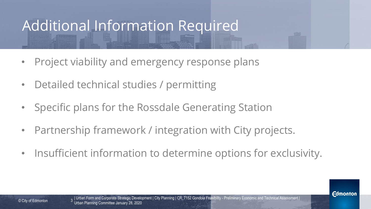### Additional Information Required

- Project viability and emergency response plans
- Detailed technical studies / permitting
- Specific plans for the Rossdale Generating Station
- Partnership framework / integration with City projects.
- Insufficient information to determine options for exclusivity.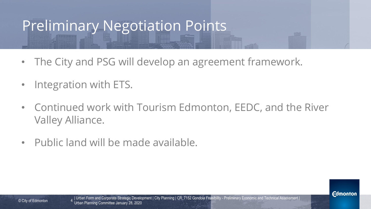### Preliminary Negotiation Points

- The City and PSG will develop an agreement framework.
- Integration with ETS.
- Continued work with Tourism Edmonton, EEDC, and the River Valley Alliance.
- Public land will be made available.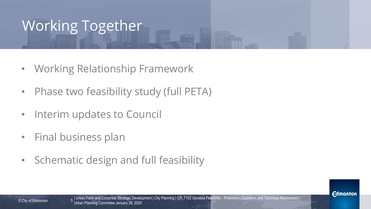## Working Together

- Working Relationship Framework
- Phase two feasibility study (full PETA)
- Interim updates to Council
- Final business plan
- Schematic design and full feasibility